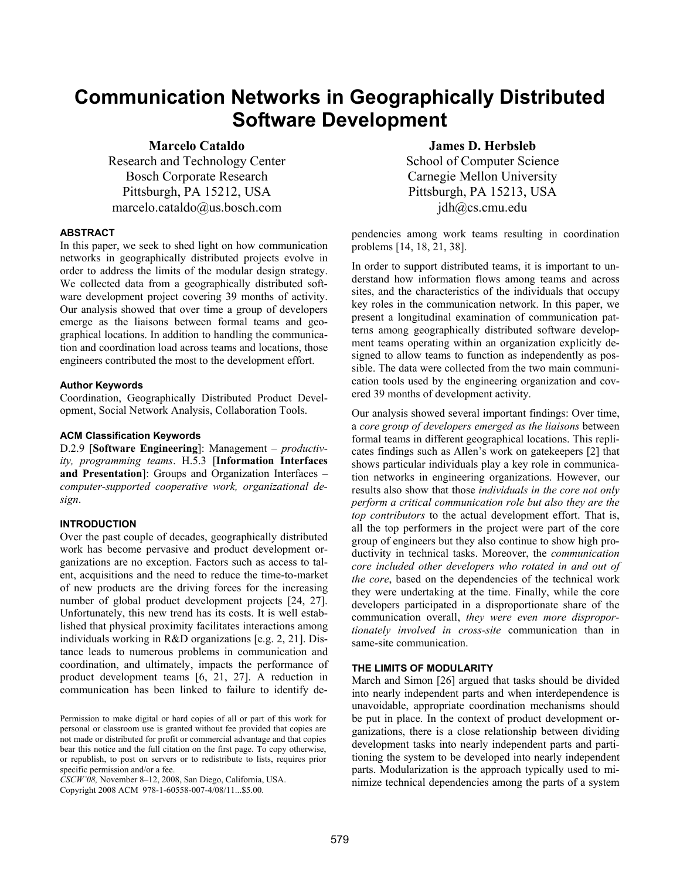# **Communication Networks in Geographically Distributed Software Development**

**Marcelo Cataldo** 

Research and Technology Center Bosch Corporate Research Pittsburgh, PA 15212, USA marcelo.cataldo@us.bosch.com

# **ABSTRACT**

In this paper, we seek to shed light on how communication networks in geographically distributed projects evolve in order to address the limits of the modular design strategy. We collected data from a geographically distributed software development project covering 39 months of activity. Our analysis showed that over time a group of developers emerge as the liaisons between formal teams and geographical locations. In addition to handling the communication and coordination load across teams and locations, those engineers contributed the most to the development effort.

#### **Author Keywords**

Coordination, Geographically Distributed Product Development, Social Network Analysis, Collaboration Tools.

#### **ACM Classification Keywords**

D.2.9 [**Software Engineering**]: Management – *productivity, programming teams*. H.5.3 [**Information Interfaces and Presentation**]: Groups and Organization Interfaces – *computer-supported cooperative work, organizational design*.

#### **INTRODUCTION**

Over the past couple of decades, geographically distributed work has become pervasive and product development organizations are no exception. Factors such as access to talent, acquisitions and the need to reduce the time-to-market of new products are the driving forces for the increasing number of global product development projects [24, 27]. Unfortunately, this new trend has its costs. It is well established that physical proximity facilitates interactions among individuals working in R&D organizations [e.g. 2, 21]. Distance leads to numerous problems in communication and coordination, and ultimately, impacts the performance of product development teams [6, 21, 27]. A reduction in communication has been linked to failure to identify de-

*CSCW'08,* November 8–12, 2008, San Diego, California, USA.

Copyright 2008 ACM 978-1-60558-007-4/08/11...\$5.00.

# **James D. Herbsleb**

School of Computer Science Carnegie Mellon University Pittsburgh, PA 15213, USA jdh@cs.cmu.edu

pendencies among work teams resulting in coordination problems [14, 18, 21, 38].

In order to support distributed teams, it is important to understand how information flows among teams and across sites, and the characteristics of the individuals that occupy key roles in the communication network. In this paper, we present a longitudinal examination of communication patterns among geographically distributed software development teams operating within an organization explicitly designed to allow teams to function as independently as possible. The data were collected from the two main communication tools used by the engineering organization and covered 39 months of development activity.

Our analysis showed several important findings: Over time, a *core group of developers emerged as the liaisons* between formal teams in different geographical locations. This replicates findings such as Allen's work on gatekeepers [2] that shows particular individuals play a key role in communication networks in engineering organizations. However, our results also show that those *individuals in the core not only perform a critical communication role but also they are the top contributors* to the actual development effort. That is, all the top performers in the project were part of the core group of engineers but they also continue to show high productivity in technical tasks. Moreover, the *communication core included other developers who rotated in and out of the core*, based on the dependencies of the technical work they were undertaking at the time. Finally, while the core developers participated in a disproportionate share of the communication overall, *they were even more disproportionately involved in cross-site* communication than in same-site communication.

#### **THE LIMITS OF MODULARITY**

March and Simon [26] argued that tasks should be divided into nearly independent parts and when interdependence is unavoidable, appropriate coordination mechanisms should be put in place. In the context of product development organizations, there is a close relationship between dividing development tasks into nearly independent parts and partitioning the system to be developed into nearly independent parts. Modularization is the approach typically used to minimize technical dependencies among the parts of a system

Permission to make digital or hard copies of all or part of this work for personal or classroom use is granted without fee provided that copies are not made or distributed for profit or commercial advantage and that copies bear this notice and the full citation on the first page. To copy otherwise, or republish, to post on servers or to redistribute to lists, requires prior specific permission and/or a fee.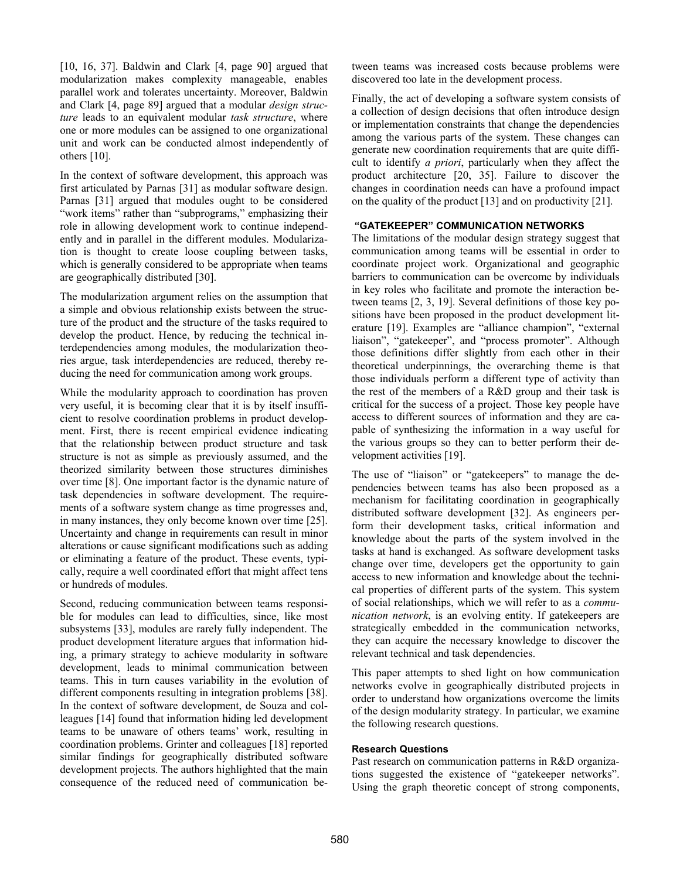[10, 16, 37]. Baldwin and Clark [4, page 90] argued that modularization makes complexity manageable, enables parallel work and tolerates uncertainty. Moreover, Baldwin and Clark [4, page 89] argued that a modular *design structure* leads to an equivalent modular *task structure*, where one or more modules can be assigned to one organizational unit and work can be conducted almost independently of others [10].

In the context of software development, this approach was first articulated by Parnas [31] as modular software design. Parnas [31] argued that modules ought to be considered "work items" rather than "subprograms," emphasizing their role in allowing development work to continue independently and in parallel in the different modules. Modularization is thought to create loose coupling between tasks, which is generally considered to be appropriate when teams are geographically distributed [30].

The modularization argument relies on the assumption that a simple and obvious relationship exists between the structure of the product and the structure of the tasks required to develop the product. Hence, by reducing the technical interdependencies among modules, the modularization theories argue, task interdependencies are reduced, thereby reducing the need for communication among work groups.

While the modularity approach to coordination has proven very useful, it is becoming clear that it is by itself insufficient to resolve coordination problems in product development. First, there is recent empirical evidence indicating that the relationship between product structure and task structure is not as simple as previously assumed, and the theorized similarity between those structures diminishes over time [8]. One important factor is the dynamic nature of task dependencies in software development. The requirements of a software system change as time progresses and, in many instances, they only become known over time [25]. Uncertainty and change in requirements can result in minor alterations or cause significant modifications such as adding or eliminating a feature of the product. These events, typically, require a well coordinated effort that might affect tens or hundreds of modules.

Second, reducing communication between teams responsible for modules can lead to difficulties, since, like most subsystems [33], modules are rarely fully independent. The product development literature argues that information hiding, a primary strategy to achieve modularity in software development, leads to minimal communication between teams. This in turn causes variability in the evolution of different components resulting in integration problems [38]. In the context of software development, de Souza and colleagues [14] found that information hiding led development teams to be unaware of others teams' work, resulting in coordination problems. Grinter and colleagues [18] reported similar findings for geographically distributed software development projects. The authors highlighted that the main consequence of the reduced need of communication between teams was increased costs because problems were discovered too late in the development process.

Finally, the act of developing a software system consists of a collection of design decisions that often introduce design or implementation constraints that change the dependencies among the various parts of the system. These changes can generate new coordination requirements that are quite difficult to identify *a priori*, particularly when they affect the product architecture [20, 35]. Failure to discover the changes in coordination needs can have a profound impact on the quality of the product [13] and on productivity [21].

# **"GATEKEEPER" COMMUNICATION NETWORKS**

The limitations of the modular design strategy suggest that communication among teams will be essential in order to coordinate project work. Organizational and geographic barriers to communication can be overcome by individuals in key roles who facilitate and promote the interaction between teams [2, 3, 19]. Several definitions of those key positions have been proposed in the product development literature [19]. Examples are "alliance champion", "external liaison", "gatekeeper", and "process promoter". Although those definitions differ slightly from each other in their theoretical underpinnings, the overarching theme is that those individuals perform a different type of activity than the rest of the members of a R&D group and their task is critical for the success of a project. Those key people have access to different sources of information and they are capable of synthesizing the information in a way useful for the various groups so they can to better perform their development activities [19].

The use of "liaison" or "gatekeepers" to manage the dependencies between teams has also been proposed as a mechanism for facilitating coordination in geographically distributed software development [32]. As engineers perform their development tasks, critical information and knowledge about the parts of the system involved in the tasks at hand is exchanged. As software development tasks change over time, developers get the opportunity to gain access to new information and knowledge about the technical properties of different parts of the system. This system of social relationships, which we will refer to as a *communication network*, is an evolving entity. If gatekeepers are strategically embedded in the communication networks, they can acquire the necessary knowledge to discover the relevant technical and task dependencies.

This paper attempts to shed light on how communication networks evolve in geographically distributed projects in order to understand how organizations overcome the limits of the design modularity strategy. In particular, we examine the following research questions.

## **Research Questions**

Past research on communication patterns in R&D organizations suggested the existence of "gatekeeper networks". Using the graph theoretic concept of strong components,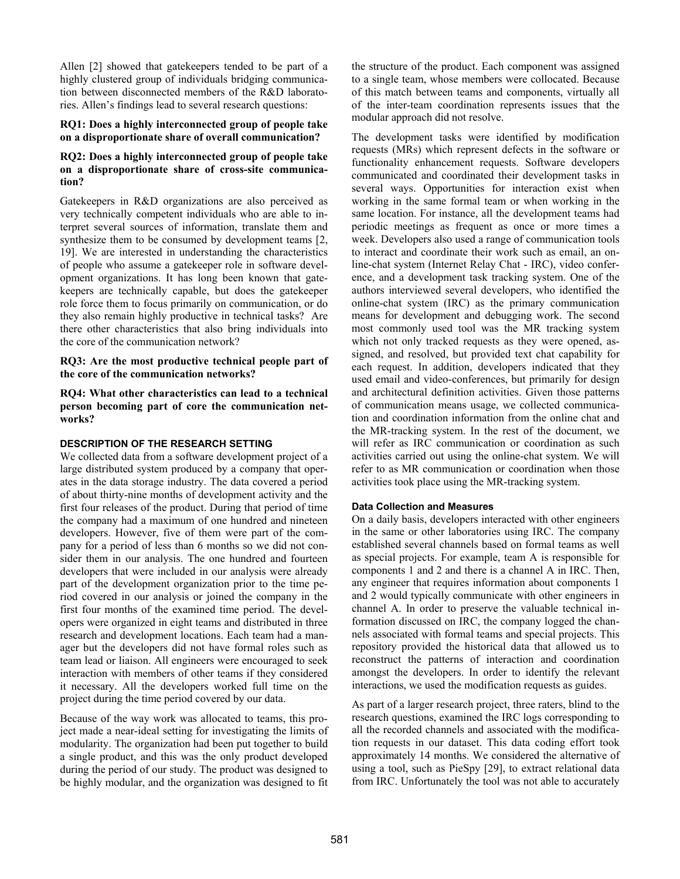Allen [2] showed that gatekeepers tended to be part of a highly clustered group of individuals bridging communication between disconnected members of the R&D laboratories. Allen's findings lead to several research questions:

## **RQ1: Does a highly interconnected group of people take on a disproportionate share of overall communication?**

# **RQ2: Does a highly interconnected group of people take on a disproportionate share of cross-site communication?**

Gatekeepers in R&D organizations are also perceived as very technically competent individuals who are able to interpret several sources of information, translate them and synthesize them to be consumed by development teams [2, 19]. We are interested in understanding the characteristics of people who assume a gatekeeper role in software development organizations. It has long been known that gatekeepers are technically capable, but does the gatekeeper role force them to focus primarily on communication, or do they also remain highly productive in technical tasks? Are there other characteristics that also bring individuals into the core of the communication network?

**RQ3: Are the most productive technical people part of the core of the communication networks?** 

**RQ4: What other characteristics can lead to a technical person becoming part of core the communication networks?** 

# **DESCRIPTION OF THE RESEARCH SETTING**

We collected data from a software development project of a large distributed system produced by a company that operates in the data storage industry. The data covered a period of about thirty-nine months of development activity and the first four releases of the product. During that period of time the company had a maximum of one hundred and nineteen developers. However, five of them were part of the company for a period of less than 6 months so we did not consider them in our analysis. The one hundred and fourteen developers that were included in our analysis were already part of the development organization prior to the time period covered in our analysis or joined the company in the first four months of the examined time period. The developers were organized in eight teams and distributed in three research and development locations. Each team had a manager but the developers did not have formal roles such as team lead or liaison. All engineers were encouraged to seek interaction with members of other teams if they considered it necessary. All the developers worked full time on the project during the time period covered by our data.

Because of the way work was allocated to teams, this project made a near-ideal setting for investigating the limits of modularity. The organization had been put together to build a single product, and this was the only product developed during the period of our study. The product was designed to be highly modular, and the organization was designed to fit the structure of the product. Each component was assigned to a single team, whose members were collocated. Because of this match between teams and components, virtually all of the inter-team coordination represents issues that the modular approach did not resolve.

The development tasks were identified by modification requests (MRs) which represent defects in the software or functionality enhancement requests. Software developers communicated and coordinated their development tasks in several ways. Opportunities for interaction exist when working in the same formal team or when working in the same location. For instance, all the development teams had periodic meetings as frequent as once or more times a week. Developers also used a range of communication tools to interact and coordinate their work such as email, an online-chat system (Internet Relay Chat - IRC), video conference, and a development task tracking system. One of the authors interviewed several developers, who identified the online-chat system (IRC) as the primary communication means for development and debugging work. The second most commonly used tool was the MR tracking system which not only tracked requests as they were opened, assigned, and resolved, but provided text chat capability for each request. In addition, developers indicated that they used email and video-conferences, but primarily for design and architectural definition activities. Given those patterns of communication means usage, we collected communication and coordination information from the online chat and the MR-tracking system. In the rest of the document, we will refer as IRC communication or coordination as such activities carried out using the online-chat system. We will refer to as MR communication or coordination when those activities took place using the MR-tracking system.

# **Data Collection and Measures**

On a daily basis, developers interacted with other engineers in the same or other laboratories using IRC. The company established several channels based on formal teams as well as special projects. For example, team A is responsible for components 1 and 2 and there is a channel A in IRC. Then, any engineer that requires information about components 1 and 2 would typically communicate with other engineers in channel A. In order to preserve the valuable technical information discussed on IRC, the company logged the channels associated with formal teams and special projects. This repository provided the historical data that allowed us to reconstruct the patterns of interaction and coordination amongst the developers. In order to identify the relevant interactions, we used the modification requests as guides.

As part of a larger research project, three raters, blind to the research questions, examined the IRC logs corresponding to all the recorded channels and associated with the modification requests in our dataset. This data coding effort took approximately 14 months. We considered the alternative of using a tool, such as PieSpy [29], to extract relational data from IRC. Unfortunately the tool was not able to accurately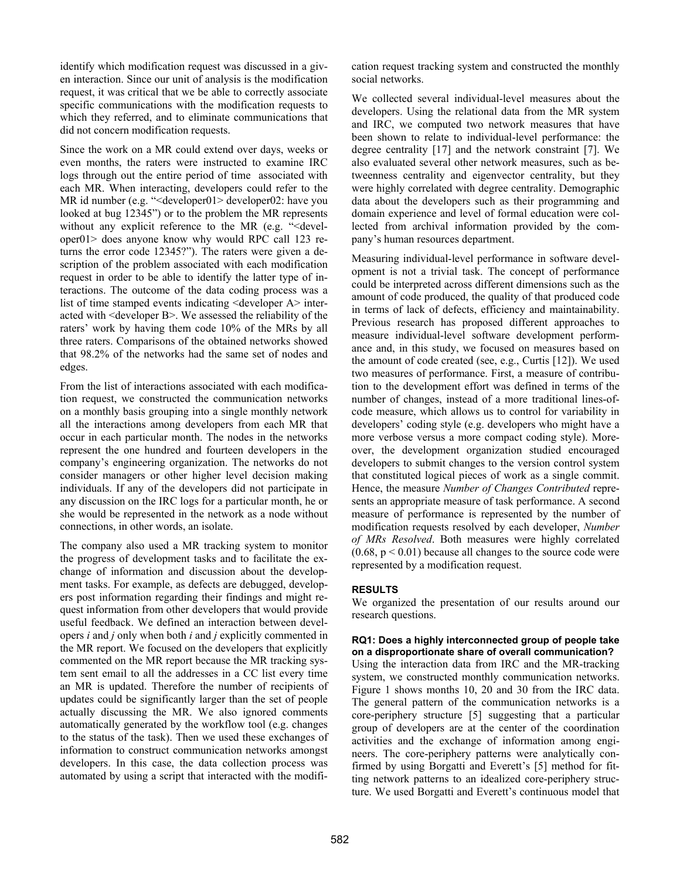identify which modification request was discussed in a given interaction. Since our unit of analysis is the modification request, it was critical that we be able to correctly associate specific communications with the modification requests to which they referred, and to eliminate communications that did not concern modification requests.

Since the work on a MR could extend over days, weeks or even months, the raters were instructed to examine IRC logs through out the entire period of time associated with each MR. When interacting, developers could refer to the MR id number (e.g. "<developer01> developer02: have you looked at bug 12345") or to the problem the MR represents without any explicit reference to the MR (e.g. "<developer01> does anyone know why would RPC call 123 returns the error code 12345?"). The raters were given a description of the problem associated with each modification request in order to be able to identify the latter type of interactions. The outcome of the data coding process was a list of time stamped events indicating <developer A> interacted with <developer B>. We assessed the reliability of the raters' work by having them code 10% of the MRs by all three raters. Comparisons of the obtained networks showed that 98.2% of the networks had the same set of nodes and edges.

From the list of interactions associated with each modification request, we constructed the communication networks on a monthly basis grouping into a single monthly network all the interactions among developers from each MR that occur in each particular month. The nodes in the networks represent the one hundred and fourteen developers in the company's engineering organization. The networks do not consider managers or other higher level decision making individuals. If any of the developers did not participate in any discussion on the IRC logs for a particular month, he or she would be represented in the network as a node without connections, in other words, an isolate.

The company also used a MR tracking system to monitor the progress of development tasks and to facilitate the exchange of information and discussion about the development tasks. For example, as defects are debugged, developers post information regarding their findings and might request information from other developers that would provide useful feedback. We defined an interaction between developers *i* and *j* only when both *i* and *j* explicitly commented in the MR report. We focused on the developers that explicitly commented on the MR report because the MR tracking system sent email to all the addresses in a CC list every time an MR is updated. Therefore the number of recipients of updates could be significantly larger than the set of people actually discussing the MR. We also ignored comments automatically generated by the workflow tool (e.g. changes to the status of the task). Then we used these exchanges of information to construct communication networks amongst developers. In this case, the data collection process was automated by using a script that interacted with the modification request tracking system and constructed the monthly social networks.

We collected several individual-level measures about the developers. Using the relational data from the MR system and IRC, we computed two network measures that have been shown to relate to individual-level performance: the degree centrality [17] and the network constraint [7]. We also evaluated several other network measures, such as betweenness centrality and eigenvector centrality, but they were highly correlated with degree centrality. Demographic data about the developers such as their programming and domain experience and level of formal education were collected from archival information provided by the company's human resources department.

Measuring individual-level performance in software development is not a trivial task. The concept of performance could be interpreted across different dimensions such as the amount of code produced, the quality of that produced code in terms of lack of defects, efficiency and maintainability. Previous research has proposed different approaches to measure individual-level software development performance and, in this study, we focused on measures based on the amount of code created (see, e.g., Curtis [12]). We used two measures of performance. First, a measure of contribution to the development effort was defined in terms of the number of changes, instead of a more traditional lines-ofcode measure, which allows us to control for variability in developers' coding style (e.g. developers who might have a more verbose versus a more compact coding style). Moreover, the development organization studied encouraged developers to submit changes to the version control system that constituted logical pieces of work as a single commit. Hence, the measure *Number of Changes Contributed* represents an appropriate measure of task performance. A second measure of performance is represented by the number of modification requests resolved by each developer, *Number of MRs Resolved*. Both measures were highly correlated  $(0.68, p \le 0.01)$  because all changes to the source code were represented by a modification request.

# **RESULTS**

We organized the presentation of our results around our research questions.

## **RQ1: Does a highly interconnected group of people take on a disproportionate share of overall communication?**

Using the interaction data from IRC and the MR-tracking system, we constructed monthly communication networks. Figure 1 shows months 10, 20 and 30 from the IRC data. The general pattern of the communication networks is a core-periphery structure [5] suggesting that a particular group of developers are at the center of the coordination activities and the exchange of information among engineers. The core-periphery patterns were analytically confirmed by using Borgatti and Everett's [5] method for fitting network patterns to an idealized core-periphery structure. We used Borgatti and Everett's continuous model that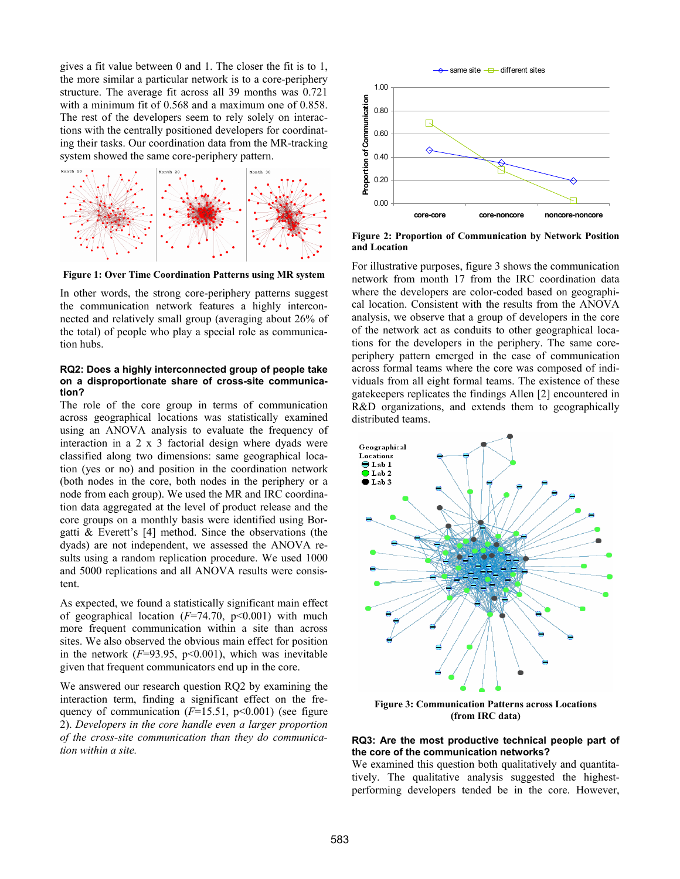gives a fit value between 0 and 1. The closer the fit is to 1, the more similar a particular network is to a core-periphery structure. The average fit across all 39 months was 0.721 with a minimum fit of 0.568 and a maximum one of 0.858. The rest of the developers seem to rely solely on interactions with the centrally positioned developers for coordinating their tasks. Our coordination data from the MR-tracking system showed the same core-periphery pattern.



**Figure 1: Over Time Coordination Patterns using MR system** 

In other words, the strong core-periphery patterns suggest the communication network features a highly interconnected and relatively small group (averaging about 26% of the total) of people who play a special role as communication hubs.

#### **RQ2: Does a highly interconnected group of people take on a disproportionate share of cross-site communication?**

The role of the core group in terms of communication across geographical locations was statistically examined using an ANOVA analysis to evaluate the frequency of interaction in a 2 x 3 factorial design where dyads were classified along two dimensions: same geographical location (yes or no) and position in the coordination network (both nodes in the core, both nodes in the periphery or a node from each group). We used the MR and IRC coordination data aggregated at the level of product release and the core groups on a monthly basis were identified using Borgatti & Everett's [4] method. Since the observations (the dyads) are not independent, we assessed the ANOVA results using a random replication procedure. We used 1000 and 5000 replications and all ANOVA results were consistent.

As expected, we found a statistically significant main effect of geographical location (*F*=74.70, p<0.001) with much more frequent communication within a site than across sites. We also observed the obvious main effect for position in the network  $(F=93.95, p<0.001)$ , which was inevitable given that frequent communicators end up in the core.

We answered our research question RQ2 by examining the interaction term, finding a significant effect on the frequency of communication (*F*=15.51, p<0.001) (see figure 2). *Developers in the core handle even a larger proportion of the cross-site communication than they do communication within a site.*



**Figure 2: Proportion of Communication by Network Position and Location** 

For illustrative purposes, figure 3 shows the communication network from month 17 from the IRC coordination data where the developers are color-coded based on geographical location. Consistent with the results from the ANOVA analysis, we observe that a group of developers in the core of the network act as conduits to other geographical locations for the developers in the periphery. The same coreperiphery pattern emerged in the case of communication across formal teams where the core was composed of individuals from all eight formal teams. The existence of these gatekeepers replicates the findings Allen [2] encountered in R&D organizations, and extends them to geographically distributed teams.



**Figure 3: Communication Patterns across Locations (from IRC data)** 

#### **RQ3: Are the most productive technical people part of the core of the communication networks?**

We examined this question both qualitatively and quantitatively. The qualitative analysis suggested the highestperforming developers tended be in the core. However,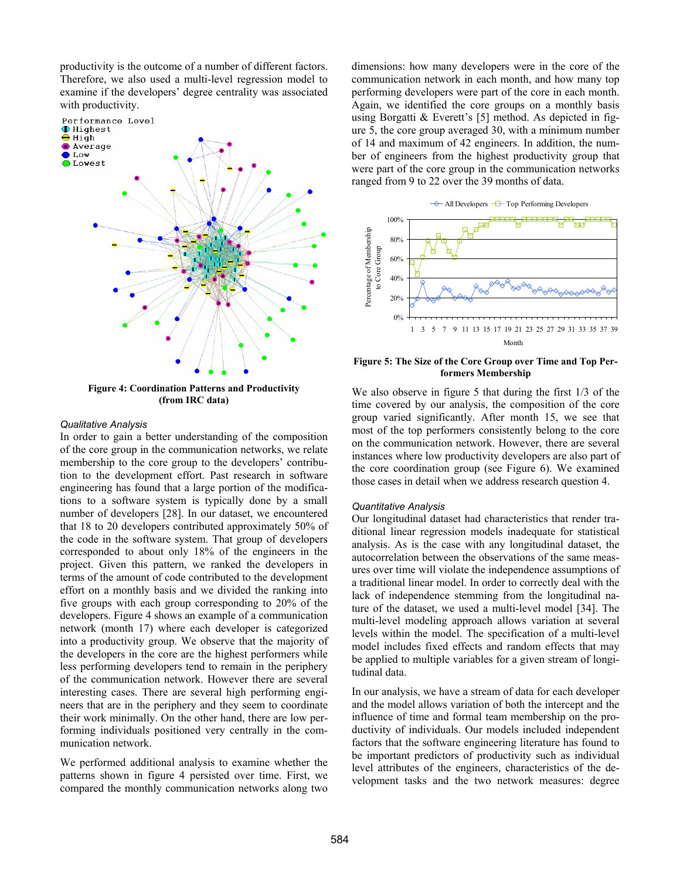productivity is the outcome of a number of different factors. Therefore, we also used a multi-level regression model to examine if the developers' degree centrality was associated with productivity.



**Figure 4: Coordination Patterns and Productivity (from IRC data)**

#### *Qualitative Analysis*

In order to gain a better understanding of the composition of the core group in the communication networks, we relate membership to the core group to the developers' contribution to the development effort. Past research in software engineering has found that a large portion of the modifications to a software system is typically done by a small number of developers [28]. In our dataset, we encountered that 18 to 20 developers contributed approximately 50% of the code in the software system. That group of developers corresponded to about only 18% of the engineers in the project. Given this pattern, we ranked the developers in terms of the amount of code contributed to the development effort on a monthly basis and we divided the ranking into five groups with each group corresponding to 20% of the developers. Figure 4 shows an example of a communication network (month 17) where each developer is categorized into a productivity group. We observe that the majority of the developers in the core are the highest performers while less performing developers tend to remain in the periphery of the communication network. However there are several interesting cases. There are several high performing engineers that are in the periphery and they seem to coordinate their work minimally. On the other hand, there are low performing individuals positioned very centrally in the communication network.

We performed additional analysis to examine whether the patterns shown in figure 4 persisted over time. First, we compared the monthly communication networks along two dimensions: how many developers were in the core of the communication network in each month, and how many top performing developers were part of the core in each month. Again, we identified the core groups on a monthly basis using Borgatti & Everett's [5] method. As depicted in figure 5, the core group averaged 30, with a minimum number of 14 and maximum of 42 engineers. In addition, the number of engineers from the highest productivity group that were part of the core group in the communication networks ranged from 9 to 22 over the 39 months of data.



**Figure 5: The Size of the Core Group over Time and Top Performers Membership** 

We also observe in figure 5 that during the first  $1/3$  of the time covered by our analysis, the composition of the core group varied significantly. After month 15, we see that most of the top performers consistently belong to the core on the communication network. However, there are several instances where low productivity developers are also part of the core coordination group (see Figure 6). We examined those cases in detail when we address research question 4.

#### *Quantitative Analysis*

Our longitudinal dataset had characteristics that render traditional linear regression models inadequate for statistical analysis. As is the case with any longitudinal dataset, the autocorrelation between the observations of the same measures over time will violate the independence assumptions of a traditional linear model. In order to correctly deal with the lack of independence stemming from the longitudinal nature of the dataset, we used a multi-level model [34]. The multi-level modeling approach allows variation at several levels within the model. The specification of a multi-level model includes fixed effects and random effects that may be applied to multiple variables for a given stream of longitudinal data.

In our analysis, we have a stream of data for each developer and the model allows variation of both the intercept and the influence of time and formal team membership on the productivity of individuals. Our models included independent factors that the software engineering literature has found to be important predictors of productivity such as individual level attributes of the engineers, characteristics of the development tasks and the two network measures: degree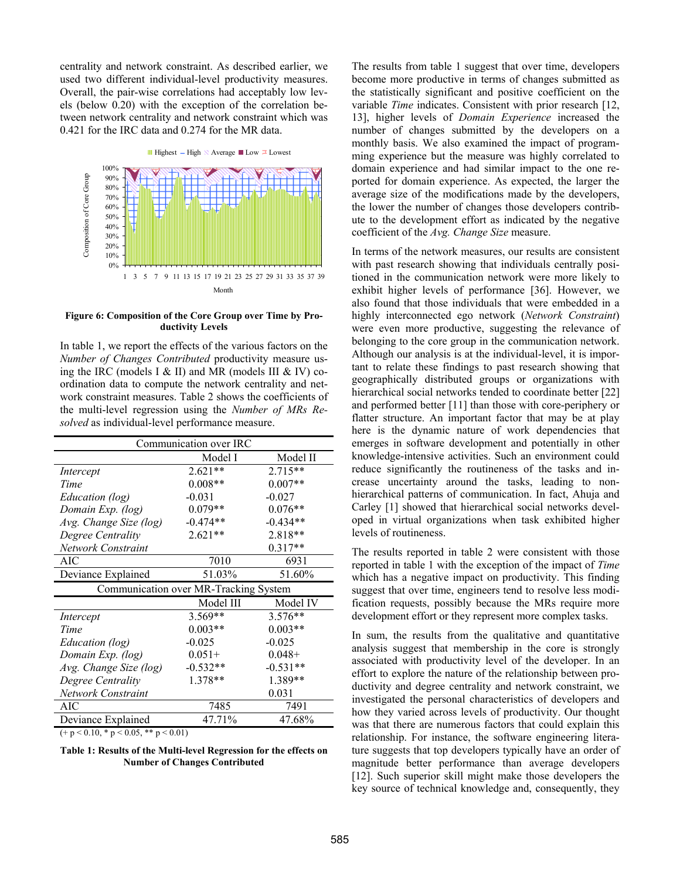centrality and network constraint. As described earlier, we used two different individual-level productivity measures. Overall, the pair-wise correlations had acceptably low levels (below 0.20) with the exception of the correlation between network centrality and network constraint which was 0.421 for the IRC data and 0.274 for the MR data.



#### **Figure 6: Composition of the Core Group over Time by Productivity Levels**

In table 1, we report the effects of the various factors on the *Number of Changes Contributed* productivity measure using the IRC (models I  $&$  II) and MR (models III  $&$  IV) coordination data to compute the network centrality and network constraint measures. Table 2 shows the coefficients of the multi-level regression using the *Number of MRs Resolved* as individual-level performance measure.

| Communication over IRC                  |            |            |  |
|-----------------------------------------|------------|------------|--|
|                                         | Model I    | Model II   |  |
| Intercept                               | $2.621**$  | 2.715**    |  |
| Time                                    | $0.008**$  | $0.007**$  |  |
| <i>Education (log)</i>                  | $-0.031$   | $-0.027$   |  |
| Domain Exp. (log)                       | $0.079**$  | $0.076**$  |  |
| Avg. Change Size (log)                  | $-0.474**$ | $-0.434**$ |  |
| Degree Centrality                       | $2.621**$  | 2.818**    |  |
| Network Constraint                      |            | $0.317**$  |  |
| <b>AIC</b>                              | 7010       | 6931       |  |
| Deviance Explained                      | 51.03%     | 51.60%     |  |
| Communication over MR-Tracking System   |            |            |  |
|                                         | Model III  | Model IV   |  |
| Intercept                               | $3.569**$  | $3.576**$  |  |
| Time                                    | $0.003**$  | $0.003**$  |  |
| Education (log)                         | $-0.025$   | $-0.025$   |  |
| Domain Exp. (log)                       | $0.051+$   | $0.048 +$  |  |
| Avg. Change Size (log)                  | $-0.532**$ | $-0.531**$ |  |
| Degree Centrality                       | 1.378**    | 1.389**    |  |
| Network Constraint                      |            | 0.031      |  |
| <b>AIC</b>                              | 7485       | 7491       |  |
| Deviance Explained                      | 47.71%     | 47.68%     |  |
| $(+ p < 0.10, * p < 0.05, ** p < 0.01)$ |            |            |  |

#### **Table 1: Results of the Multi-level Regression for the effects on Number of Changes Contributed**

The results from table 1 suggest that over time, developers become more productive in terms of changes submitted as the statistically significant and positive coefficient on the variable *Time* indicates. Consistent with prior research [12, 13], higher levels of *Domain Experience* increased the number of changes submitted by the developers on a monthly basis. We also examined the impact of programming experience but the measure was highly correlated to domain experience and had similar impact to the one reported for domain experience. As expected, the larger the average size of the modifications made by the developers, the lower the number of changes those developers contribute to the development effort as indicated by the negative coefficient of the *Avg. Change Size* measure.

In terms of the network measures, our results are consistent with past research showing that individuals centrally positioned in the communication network were more likely to exhibit higher levels of performance [36]. However, we also found that those individuals that were embedded in a highly interconnected ego network (*Network Constraint*) were even more productive, suggesting the relevance of belonging to the core group in the communication network. Although our analysis is at the individual-level, it is important to relate these findings to past research showing that geographically distributed groups or organizations with hierarchical social networks tended to coordinate better [22] and performed better [11] than those with core-periphery or flatter structure. An important factor that may be at play here is the dynamic nature of work dependencies that emerges in software development and potentially in other knowledge-intensive activities. Such an environment could reduce significantly the routineness of the tasks and increase uncertainty around the tasks, leading to nonhierarchical patterns of communication. In fact, Ahuja and Carley [1] showed that hierarchical social networks developed in virtual organizations when task exhibited higher levels of routineness.

The results reported in table 2 were consistent with those reported in table 1 with the exception of the impact of *Time* which has a negative impact on productivity. This finding suggest that over time, engineers tend to resolve less modification requests, possibly because the MRs require more development effort or they represent more complex tasks.

In sum, the results from the qualitative and quantitative analysis suggest that membership in the core is strongly associated with productivity level of the developer. In an effort to explore the nature of the relationship between productivity and degree centrality and network constraint, we investigated the personal characteristics of developers and how they varied across levels of productivity. Our thought was that there are numerous factors that could explain this relationship. For instance, the software engineering literature suggests that top developers typically have an order of magnitude better performance than average developers [12]. Such superior skill might make those developers the key source of technical knowledge and, consequently, they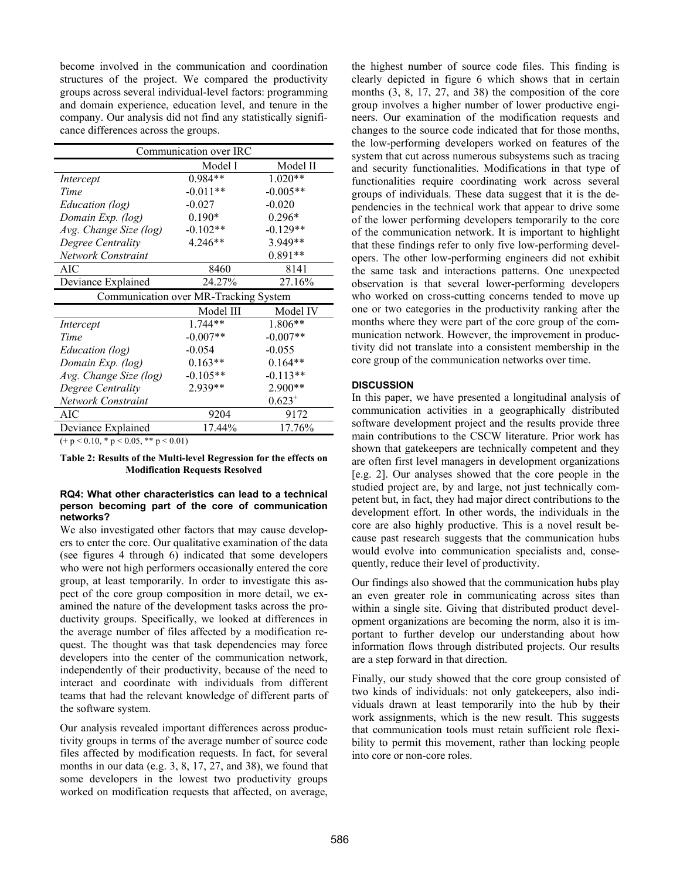become involved in the communication and coordination structures of the project. We compared the productivity groups across several individual-level factors: programming and domain experience, education level, and tenure in the company. Our analysis did not find any statistically significance differences across the groups.

| Communication over IRC                  |            |             |  |
|-----------------------------------------|------------|-------------|--|
|                                         | Model I    | Model II    |  |
| Intercept                               | 0.984**    | $1.020**$   |  |
| Time                                    | $-0.011**$ | $-0.005**$  |  |
| Education (log)                         | $-0.027$   | $-0.020$    |  |
| Domain Exp. (log)                       | $0.190*$   | $0.296*$    |  |
| Avg. Change Size (log)                  | $-0.102**$ | $-0.129**$  |  |
| Degree Centrality                       | 4.246**    | 3.949**     |  |
| Network Constraint                      |            | $0.891**$   |  |
| AIC                                     | 8460       | 8141        |  |
| Deviance Explained                      | 24.27%     | 27.16%      |  |
| Communication over MR-Tracking System   |            |             |  |
|                                         | Model III  | Model IV    |  |
| Intercept                               | 1.744**    | 1.806**     |  |
| Time                                    | $-0.007**$ | $-0.007**$  |  |
| Education (log)                         | $-0.054$   | $-0.055$    |  |
| Domain Exp. (log)                       | $0.163**$  | $0.164**$   |  |
| Avg. Change Size (log)                  | $-0.105**$ | $-0.113**$  |  |
| Degree Centrality                       | 2.939**    | 2.900**     |  |
| Network Constraint                      |            | $0.623^{+}$ |  |
| AIC                                     | 9204       | 9172        |  |
| Deviance Explained                      | 17.44%     | 17.76%      |  |
| $(+ p < 0.10, * p < 0.05, ** p < 0.01)$ |            |             |  |

**Table 2: Results of the Multi-level Regression for the effects on Modification Requests Resolved** 

## **RQ4: What other characteristics can lead to a technical person becoming part of the core of communication networks?**

We also investigated other factors that may cause developers to enter the core. Our qualitative examination of the data (see figures 4 through 6) indicated that some developers who were not high performers occasionally entered the core group, at least temporarily. In order to investigate this aspect of the core group composition in more detail, we examined the nature of the development tasks across the productivity groups. Specifically, we looked at differences in the average number of files affected by a modification request. The thought was that task dependencies may force developers into the center of the communication network, independently of their productivity, because of the need to interact and coordinate with individuals from different teams that had the relevant knowledge of different parts of the software system.

Our analysis revealed important differences across productivity groups in terms of the average number of source code files affected by modification requests. In fact, for several months in our data (e.g. 3, 8, 17, 27, and 38), we found that some developers in the lowest two productivity groups worked on modification requests that affected, on average,

the highest number of source code files. This finding is clearly depicted in figure 6 which shows that in certain months (3, 8, 17, 27, and 38) the composition of the core group involves a higher number of lower productive engineers. Our examination of the modification requests and changes to the source code indicated that for those months, the low-performing developers worked on features of the system that cut across numerous subsystems such as tracing and security functionalities. Modifications in that type of functionalities require coordinating work across several groups of individuals. These data suggest that it is the dependencies in the technical work that appear to drive some of the lower performing developers temporarily to the core of the communication network. It is important to highlight that these findings refer to only five low-performing developers. The other low-performing engineers did not exhibit the same task and interactions patterns. One unexpected observation is that several lower-performing developers who worked on cross-cutting concerns tended to move up one or two categories in the productivity ranking after the months where they were part of the core group of the communication network. However, the improvement in productivity did not translate into a consistent membership in the core group of the communication networks over time.

# **DISCUSSION**

In this paper, we have presented a longitudinal analysis of communication activities in a geographically distributed software development project and the results provide three main contributions to the CSCW literature. Prior work has shown that gatekeepers are technically competent and they are often first level managers in development organizations [e.g. 2]. Our analyses showed that the core people in the studied project are, by and large, not just technically competent but, in fact, they had major direct contributions to the development effort. In other words, the individuals in the core are also highly productive. This is a novel result because past research suggests that the communication hubs would evolve into communication specialists and, consequently, reduce their level of productivity.

Our findings also showed that the communication hubs play an even greater role in communicating across sites than within a single site. Giving that distributed product development organizations are becoming the norm, also it is important to further develop our understanding about how information flows through distributed projects. Our results are a step forward in that direction.

Finally, our study showed that the core group consisted of two kinds of individuals: not only gatekeepers, also individuals drawn at least temporarily into the hub by their work assignments, which is the new result. This suggests that communication tools must retain sufficient role flexibility to permit this movement, rather than locking people into core or non-core roles.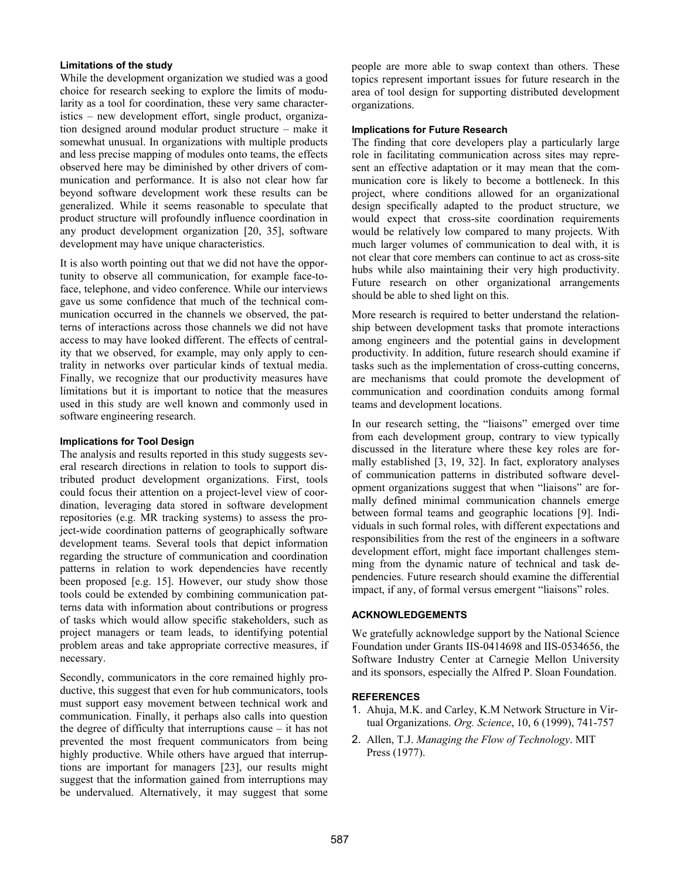## **Limitations of the study**

While the development organization we studied was a good choice for research seeking to explore the limits of modularity as a tool for coordination, these very same characteristics – new development effort, single product, organization designed around modular product structure – make it somewhat unusual. In organizations with multiple products and less precise mapping of modules onto teams, the effects observed here may be diminished by other drivers of communication and performance. It is also not clear how far beyond software development work these results can be generalized. While it seems reasonable to speculate that product structure will profoundly influence coordination in any product development organization [20, 35], software development may have unique characteristics.

It is also worth pointing out that we did not have the opportunity to observe all communication, for example face-toface, telephone, and video conference. While our interviews gave us some confidence that much of the technical communication occurred in the channels we observed, the patterns of interactions across those channels we did not have access to may have looked different. The effects of centrality that we observed, for example, may only apply to centrality in networks over particular kinds of textual media. Finally, we recognize that our productivity measures have limitations but it is important to notice that the measures used in this study are well known and commonly used in software engineering research.

#### **Implications for Tool Design**

The analysis and results reported in this study suggests several research directions in relation to tools to support distributed product development organizations. First, tools could focus their attention on a project-level view of coordination, leveraging data stored in software development repositories (e.g. MR tracking systems) to assess the project-wide coordination patterns of geographically software development teams. Several tools that depict information regarding the structure of communication and coordination patterns in relation to work dependencies have recently been proposed [e.g. 15]. However, our study show those tools could be extended by combining communication patterns data with information about contributions or progress of tasks which would allow specific stakeholders, such as project managers or team leads, to identifying potential problem areas and take appropriate corrective measures, if necessary.

Secondly, communicators in the core remained highly productive, this suggest that even for hub communicators, tools must support easy movement between technical work and communication. Finally, it perhaps also calls into question the degree of difficulty that interruptions cause – it has not prevented the most frequent communicators from being highly productive. While others have argued that interruptions are important for managers [23], our results might suggest that the information gained from interruptions may be undervalued. Alternatively, it may suggest that some

people are more able to swap context than others. These topics represent important issues for future research in the area of tool design for supporting distributed development organizations.

#### **Implications for Future Research**

The finding that core developers play a particularly large role in facilitating communication across sites may represent an effective adaptation or it may mean that the communication core is likely to become a bottleneck. In this project, where conditions allowed for an organizational design specifically adapted to the product structure, we would expect that cross-site coordination requirements would be relatively low compared to many projects. With much larger volumes of communication to deal with, it is not clear that core members can continue to act as cross-site hubs while also maintaining their very high productivity. Future research on other organizational arrangements should be able to shed light on this.

More research is required to better understand the relationship between development tasks that promote interactions among engineers and the potential gains in development productivity. In addition, future research should examine if tasks such as the implementation of cross-cutting concerns, are mechanisms that could promote the development of communication and coordination conduits among formal teams and development locations.

In our research setting, the "liaisons" emerged over time from each development group, contrary to view typically discussed in the literature where these key roles are formally established [3, 19, 32]. In fact, exploratory analyses of communication patterns in distributed software development organizations suggest that when "liaisons" are formally defined minimal communication channels emerge between formal teams and geographic locations [9]. Individuals in such formal roles, with different expectations and responsibilities from the rest of the engineers in a software development effort, might face important challenges stemming from the dynamic nature of technical and task dependencies. Future research should examine the differential impact, if any, of formal versus emergent "liaisons" roles.

#### **ACKNOWLEDGEMENTS**

We gratefully acknowledge support by the National Science Foundation under Grants IIS-0414698 and IIS-0534656, the Software Industry Center at Carnegie Mellon University and its sponsors, especially the Alfred P. Sloan Foundation.

## **REFERENCES**

- 1. Ahuja, M.K. and Carley, K.M Network Structure in Virtual Organizations. *Org. Science*, 10, 6 (1999), 741-757
- 2. Allen, T.J. *Managing the Flow of Technology*. MIT Press (1977).